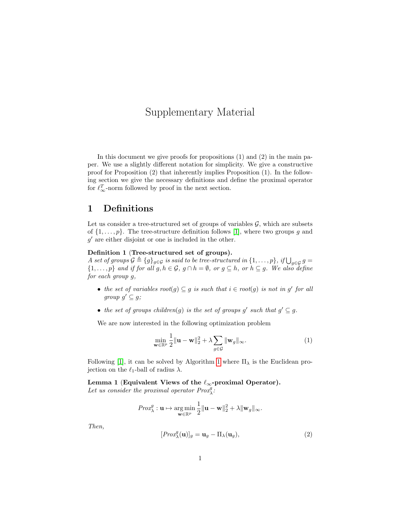# Supplementary Material

In this document we give proofs for propositions (1) and (2) in the main paper. We use a slightly different notation for simplicity. We give a constructive proof for Proposition (2) that inherently implies Proposition (1). In the following section we give the necessary definitions and define the proximal operator for  $\ell_{\infty}^T$ -norm followed by proof in the next section.

## 1 Definitions

Let us consider a tree-structured set of groups of variables  $G$ , which are subsets of  $\{1,\ldots,p\}$ . The tree-structure definition follows [\[1\]](#page-3-0), where two groups g and  $g'$  are either disjoint or one is included in the other.

### Definition 1 (Tree-structured set of groups).

A set of groups  $\mathcal{G} \triangleq \{g\}_{g \in \mathcal{G}}$  is said to be tree-structured in  $\{1, \ldots, p\}$ , if  $\bigcup_{g \in \mathcal{G}} g =$  $\{1,\ldots,p\}$  and if for all  $g, h \in \mathcal{G}$ ,  $g \cap h = \emptyset$ , or  $g \subseteq h$ , or  $h \subseteq g$ . We also define for each group g,

- the set of variables  $root(g) \subseteq g$  is such that  $i \in root(g)$  is not in g' for all group  $g' \subseteq g$ ;
- the set of groups children(g) is the set of groups g' such that  $g' \subseteq g$ .

We are now interested in the following optimization problem

$$
\min_{\mathbf{w}\in\mathbb{R}^p} \frac{1}{2} \|\mathbf{u} - \mathbf{w}\|_2^2 + \lambda \sum_{g\in\mathcal{G}} \|\mathbf{w}_g\|_{\infty}.
$$
\n(1)

Following [\[1\]](#page-3-0), it can be solved by Algorithm [1](#page-1-0) where  $\Pi_{\lambda}$  is the Euclidean projection on the  $\ell_1$ -ball of radius  $\lambda$ .

<span id="page-0-1"></span>Lemma 1 (Equivalent Views of the  $\ell_{\infty}$ -proximal Operator). Let us consider the proximal operator  $Prox_{\lambda}^{g}$ :

$$
\mathit{Prox}^{g}_{\lambda}: \mathbf{u} \mapsto \argmin_{\mathbf{w} \in \mathbb{R}^{p}} \frac{1}{2} \|\mathbf{u} - \mathbf{w}\|_{2}^{2} + \lambda \|\mathbf{w}_{g}\|_{\infty}.
$$

<span id="page-0-0"></span>Then,

$$
[Prox_{\lambda}^{g}(\mathbf{u})]_{g} = \mathbf{u}_{g} - \Pi_{\lambda}(\mathbf{u}_{g}), \qquad (2)
$$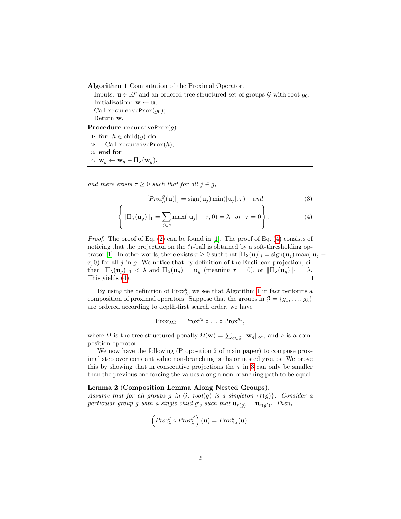Algorithm 1 Computation of the Proximal Operator.

<span id="page-1-0"></span>Inputs:  $\mathbf{u} \in \mathbb{R}^p$  and an ordered tree-structured set of groups  $\mathcal{G}$  with root  $g_0$ . Initialization:  $\mathbf{w} \leftarrow \mathbf{u}$ ; Call recursiveProx $(q_0)$ ; Return w. Procedure recursiveProx $(q)$ 1: for  $h \in \text{child}(q)$  do 2: Call recursiveProx $(h)$ ; 3: end for 4:  $\mathbf{w}_g \leftarrow \mathbf{w}_g - \Pi_{\lambda}(\mathbf{w}_g)$ .

and there exists  $\tau \geq 0$  such that for all  $j \in g$ ,

<span id="page-1-1"></span>
$$
[Prox_{\lambda}^{g}(\mathbf{u})]_{j} = \text{sign}(\mathbf{u}_{j}) \min(|\mathbf{u}_{j}|, \tau) \quad and \tag{3}
$$

$$
\left\{ \|\Pi_{\lambda}(\mathbf{u}_g)\|_1 = \sum_{j \in g} \max(|\mathbf{u}_j| - \tau, 0) = \lambda \quad or \quad \tau = 0 \right\}.
$$
 (4)

*Proof.* The proof of Eq.  $(2)$  can be found in [\[1\]](#page-3-0). The proof of Eq.  $(4)$  consists of noticing that the projection on the  $\ell_1$ -ball is obtained by a soft-thresholding op-erator [\[1\]](#page-3-0). In other words, there exists  $\tau \geq 0$  such that  $[\Pi_{\lambda}(\mathbf{u})]_j = \text{sign}(\mathbf{u}_j) \max(|\mathbf{u}_j| \tau$ , 0) for all j in g. We notice that by definition of the Euclidean projection, either  $\|\Pi_{\lambda}(\mathbf{u}_g)\|_1 < \lambda$  and  $\Pi_{\lambda}(\mathbf{u}_g) = \mathbf{u}_g$  (meaning  $\tau = 0$ ), or  $\|\Pi_{\lambda}(\mathbf{u}_g)\|_1 = \lambda$ . This yields [\(4\)](#page-1-1).  $\Box$ 

By using the definition of  ${\rm Prox}^g_\lambda$  , we see that Algorithm [1](#page-1-0) in fact performs a composition of proximal operators. Suppose that the groups in  $\mathcal{G} = \{g_1, \ldots, g_k\}$ are ordered according to depth-first search order, we have

$$
\mathrm{Prox}_{\lambda\Omega} = \mathrm{Prox}^{g_k} \circ \ldots \circ \mathrm{Prox}^{g_1},
$$

where  $\Omega$  is the tree-structured penalty  $\Omega(\mathbf{w}) = \sum_{g \in \mathcal{G}} ||\mathbf{w}_g||_{\infty}$ , and  $\circ$  is a composition operator.

We now have the following (Proposition 2 of main paper) to compose proximal step over constant value non-branching paths or nested groups. We prove this by showing that in consecutive projections the  $\tau$  in [3](#page-1-1) can only be smaller than the previous one forcing the values along a non-branching path to be equal.

#### <span id="page-1-2"></span>Lemma 2 (Composition Lemma Along Nested Groups).

Assume that for all groups g in  $G$ , root(g) is a singleton  $\{r(g)\}\)$ . Consider a particular group g with a single child g', such that  $\mathbf{u}_{r(g)} = \mathbf{u}_{r(g')}$ . Then,

$$
\left(\text{Prox}_{\lambda}^{g} \circ \text{Prox}_{\lambda}^{g'}\right)(\mathbf{u}) = \text{Prox}_{2\lambda}^{g}(\mathbf{u}).
$$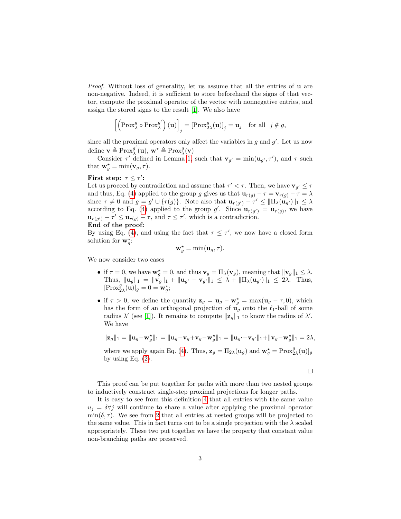*Proof.* Without loss of generality, let us assume that all the entries of  $\bf{u}$  are non-negative. Indeed, it is sufficient to store beforehand the signs of that vector, compute the proximal operator of the vector with nonnegative entries, and assign the stored signs to the result [\[1\]](#page-3-0). We also have

$$
\left[\left(\operatorname{Prox}_{\lambda}^{g} \circ \operatorname{Prox}_{\lambda}^{g'}\right)(\mathbf{u})\right]_{j} = \left[\operatorname{Prox}_{2\lambda}^{g}(\mathbf{u})\right]_{j} = \mathbf{u}_{j} \quad \text{for all} \ \ j \notin g,
$$

since all the proximal operators only affect the variables in  $g$  and  $g'$ . Let us now define  $\mathbf{v} \triangleq \text{Prox}_{\lambda}^{g'}$  $y'_{\lambda}(\mathbf{u}), \mathbf{w}^{\star} \triangleq \text{Prox}_{\lambda}^{g}(\mathbf{v})$ 

Consider  $\tau'$  defined in Lemma [1,](#page-0-1) such that  $\mathbf{v}_{g'} = \min(\mathbf{u}_{g'}, \tau')$ , and  $\tau$  such that  $\mathbf{w}_g^* = \min(\mathbf{v}_g, \tau)$ .

### First step:  $\tau \leq \tau'$ :

Let us proceed by contradiction and assume that  $\tau' < \tau$ . Then, we have  $\mathbf{v}_{g'} \leq \tau$ and thus, Eq. [\(4\)](#page-1-1) applied to the group g gives us that  $\mathbf{u}_{r(g)} - \tau = \mathbf{v}_{r(g)} - \tau = \lambda$ since  $\tau \neq 0$  and  $g = g' \cup \{r(g)\}\$ . Note also that  $\mathbf{u}_{r(g')} - \tau' \leq ||\Pi_{\lambda}(\mathbf{u}_{g'})||_1 \leq \lambda$ according to Eq. [\(4\)](#page-1-1) applied to the group g'. Since  $\mathbf{u}_{r(g')} = \mathbf{u}_{r(g)}$ , we have  $\mathbf{u}_{r(g')} - \tau' \leq \mathbf{u}_{r(g)} - \tau$ , and  $\tau \leq \tau'$ , which is a contradiction.

End of the proof:

By using Eq. [\(4\)](#page-1-1), and using the fact that  $\tau \leq \tau'$ , we now have a closed form solution for  $\mathbf{w}_g^*$ :

$$
\mathbf{w}_g^* = \min(\mathbf{u}_g, \tau).
$$

We now consider two cases

- if  $\tau = 0$ , we have  $\mathbf{w}_g^* = 0$ , and thus  $\mathbf{v}_g = \Pi_\lambda(\mathbf{v}_g)$ , meaning that  $\|\mathbf{v}_g\|_1 \leq \lambda$ . Thus,  $\|\mathbf{u}_g\|_1 = \|\mathbf{v}_g\|_1 + \|\mathbf{u}_{g'} - \mathbf{v}_{g'}\|_1 \leq \lambda + \|\Pi_{\lambda}(\mathbf{u}_{g'})\|_1 \leq 2\lambda$ . Thus,  $[{\rm Prox}_{2\lambda}^g(\mathbf{u})]_g = 0 = \mathbf{w}_g^*;$
- if  $\tau > 0$ , we define the quantity  $\mathbf{z}_g = \mathbf{u}_g \mathbf{w}_g^* = \max(\mathbf{u}_g \tau, 0)$ , which has the form of an orthogonal projection of  $\mathbf{u}_q$  onto the  $\ell_1$ -ball of some radius  $\lambda'$  (see [\[1\]](#page-3-0)). It remains to compute  $\|\mathbf{z}_g\|_1$  to know the radius of  $\lambda'$ . We have

$$
\|\mathbf{z}_{g}\|_{1} = \|\mathbf{u}_{g} - \mathbf{w}_{g}^{*}\|_{1} = \|\mathbf{u}_{g} - \mathbf{v}_{g} + \mathbf{v}_{g} - \mathbf{w}_{g}^{*}\|_{1} = \|\mathbf{u}_{g'} - \mathbf{v}_{g'}\|_{1} + \|\mathbf{v}_{g} - \mathbf{w}_{g}^{*}\|_{1} = 2\lambda,
$$

where we apply again Eq. [\(4\)](#page-1-1). Thus,  $\mathbf{z}_g = \Pi_{2\lambda}(\mathbf{u}_g)$  and  $\mathbf{w}_g^* = \text{Prox}_{2\lambda}^g(\mathbf{u})]_g$ by using Eq.  $(2)$ .

 $\Box$ 

This proof can be put together for paths with more than two nested groups to inductively construct single-step proximal projections for longer paths.

It is easy to see from this definition [4](#page-1-1) that all entries with the same value  $u_i = \delta \forall j$  will continue to share a value after applying the proximal operator  $\min(\delta, \tau)$ . We see from [2](#page-1-2) that all entries at nested groups will be projected to the same value. This in fact turns out to be a single projection with the  $\lambda$  scaled appropriately. These two put together we have the property that constant value non-branching paths are preserved.